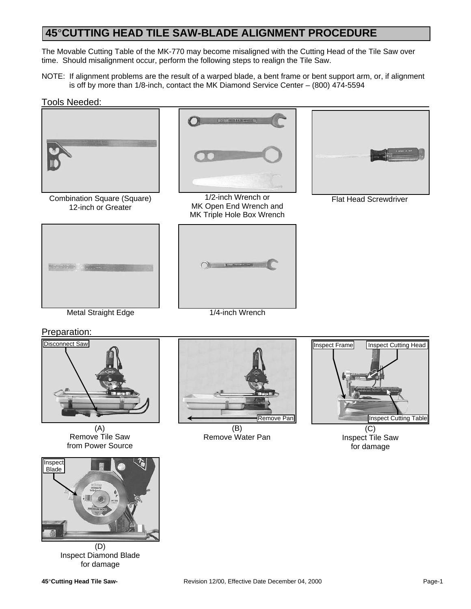The Movable Cutting Table of the MK-770 may become misaligned with the Cutting Head of the Tile Saw over time. Should misalignment occur, perform the following steps to realign the Tile Saw.

NOTE: If alignment problems are the result of a warped blade, a bent frame or bent support arm, or, if alignment is off by more than 1/8-inch, contact the MK Diamond Service Center – (800) 474-5594

#### Tools Needed:



Combination Square (Square) 12-inch or Greater



1/2-inch Wrench or MK Open End Wrench and MK Triple Hole Box Wrench



Flat Head Screwdriver





Preparation:



(A) Remove Tile Saw from Power Source



Inspect Diamond Blade for damage



(B) Remove Water Pan



Inspect Tile Saw for damage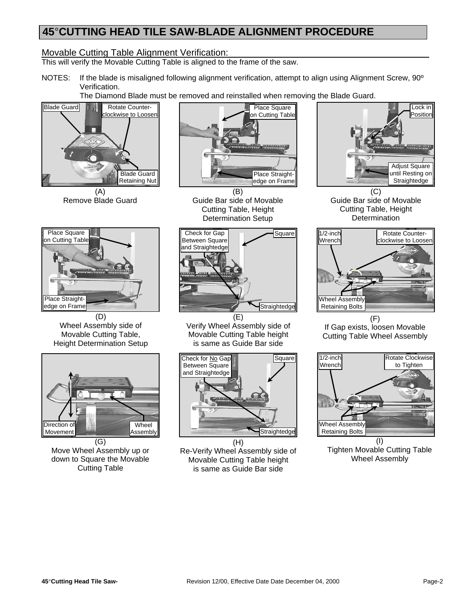### Movable Cutting Table Alignment Verification:

This will verify the Movable Cutting Table is aligned to the frame of the saw.

NOTES: If the blade is misaligned following alignment verification, attempt to align using Alignment Screw, 90º Verification.

The Diamond Blade must be removed and reinstalled when removing the Blade Guard.



(A) Remove Blade Guard



(D) Wheel Assembly side of Movable Cutting Table, Height Determination Setup



Move Wheel Assembly up or down to Square the Movable Cutting Table



(B) Guide Bar side of Movable Cutting Table, Height Determination Setup



Verify Wheel Assembly side of Movable Cutting Table height is same as Guide Bar side



(H) Re-Verify Wheel Assembly side of Movable Cutting Table height is same as Guide Bar side



(C) Guide Bar side of Movable Cutting Table, Height Determination



 $(F)$ If Gap exists, loosen Movable Cutting Table Wheel Assembly



(I) Tighten Movable Cutting Table Wheel Assembly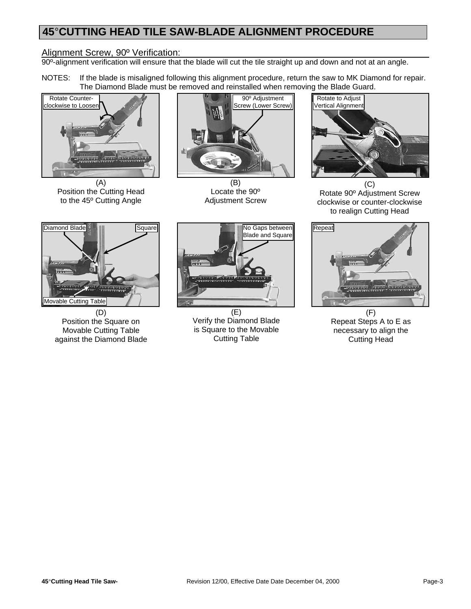#### Alignment Screw, 90º Verification:

90<sup>o</sup>-alignment verification will ensure that the blade will cut the tile straight up and down and not at an angle.

NOTES: If the blade is misaligned following this alignment procedure, return the saw to MK Diamond for repair. The Diamond Blade must be removed and reinstalled when removing the Blade Guard.



(A) Position the Cutting Head to the 45º Cutting Angle



(B) Locate the 90º Adjustment Screw



 $(C)$ Rotate 90º Adjustment Screw clockwise or counter-clockwise to realign Cutting Head



Position the Square on Movable Cutting Table against the Diamond Blade



(E) Verify the Diamond Blade is Square to the Movable Cutting Table



(F) Repeat Steps A to E as necessary to align the Cutting Head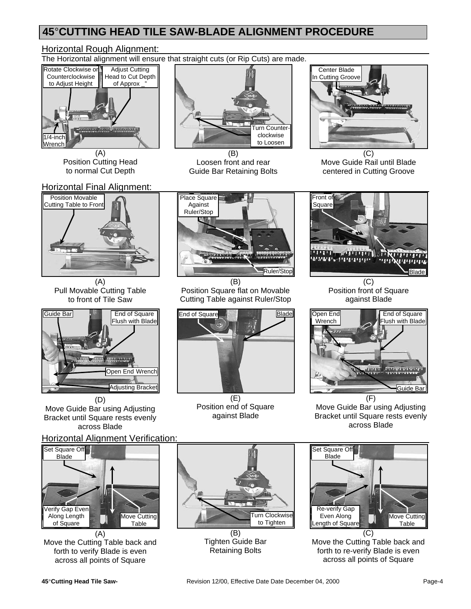### Horizontal Rough Alignment:

The Horizontal alignment will ensure that straight cuts (or Rip Cuts) are made.



(A) Position Cutting Head to normal Cut Depth



(B) Loosen front and rear Guide Bar Retaining Bolts



(C) Move Guide Rail until Blade centered in Cutting Groove



(A) Pull Movable Cutting Table to front of Tile Saw



Move Guide Bar using Adjusting Bracket until Square rests evenly across Blade

### Horizontal Alignment Verification:



(A) Move the Cutting Table back and forth to verify Blade is even across all points of Square



(B) Position Square flat on Movable Cutting Table against Ruler/Stop



(E) Position end of Square against Blade

(B) Tighten Guide Bar Retaining Bolts



(C) Position front of Square against Blade



Move Guide Bar using Adjusting Bracket until Square rests evenly across Blade



Move the Cutting Table back and forth to re-verify Blade is even across all points of Square

Turn Clockwise to Tighten